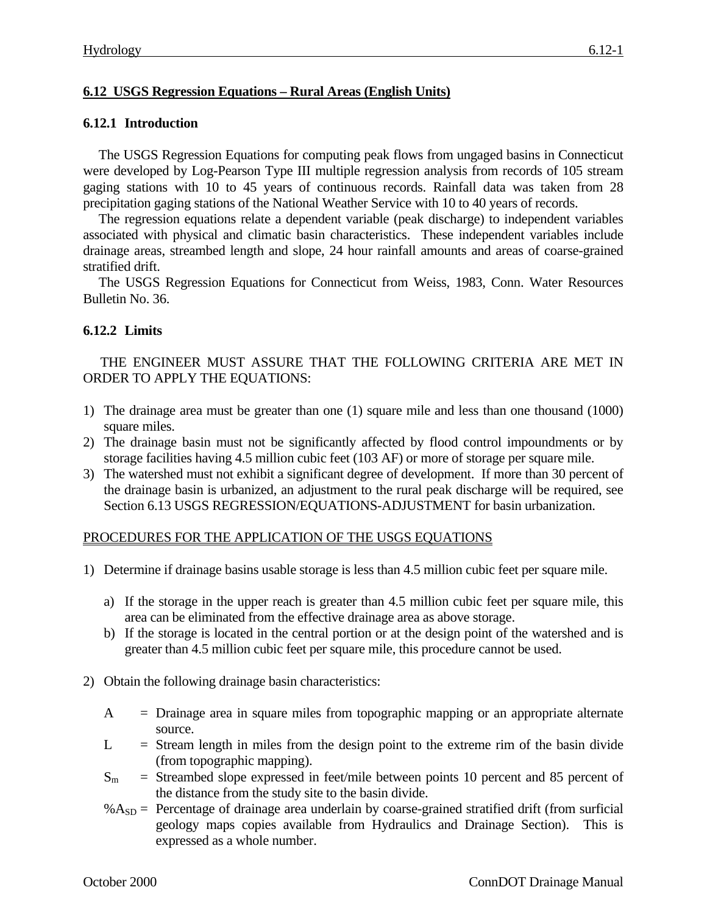# **6.12 USGS Regression Equations – Rural Areas (English Units)**

### **6.12.1 Introduction**

The USGS Regression Equations for computing peak flows from ungaged basins in Connecticut were developed by Log-Pearson Type III multiple regression analysis from records of 105 stream gaging stations with 10 to 45 years of continuous records. Rainfall data was taken from 28 precipitation gaging stations of the National Weather Service with 10 to 40 years of records.

The regression equations relate a dependent variable (peak discharge) to independent variables associated with physical and climatic basin characteristics. These independent variables include drainage areas, streambed length and slope, 24 hour rainfall amounts and areas of coarse-grained stratified drift.

The USGS Regression Equations for Connecticut from Weiss, 1983, Conn. Water Resources Bulletin No. 36.

## **6.12.2 Limits**

THE ENGINEER MUST ASSURE THAT THE FOLLOWING CRITERIA ARE MET IN ORDER TO APPLY THE EQUATIONS:

- 1) The drainage area must be greater than one (1) square mile and less than one thousand (1000) square miles.
- 2) The drainage basin must not be significantly affected by flood control impoundments or by storage facilities having 4.5 million cubic feet (103 AF) or more of storage per square mile.
- 3) The watershed must not exhibit a significant degree of development. If more than 30 percent of the drainage basin is urbanized, an adjustment to the rural peak discharge will be required, see Section 6.13 USGS REGRESSION/EQUATIONS-ADJUSTMENT for basin urbanization.

#### PROCEDURES FOR THE APPLICATION OF THE USGS EQUATIONS

- 1) Determine if drainage basins usable storage is less than 4.5 million cubic feet per square mile.
	- a) If the storage in the upper reach is greater than 4.5 million cubic feet per square mile, this area can be eliminated from the effective drainage area as above storage.
	- b) If the storage is located in the central portion or at the design point of the watershed and is greater than 4.5 million cubic feet per square mile, this procedure cannot be used.
- 2) Obtain the following drainage basin characteristics:
	- A = Drainage area in square miles from topographic mapping or an appropriate alternate source.
	- $L =$  Stream length in miles from the design point to the extreme rim of the basin divide (from topographic mapping).
	- $S_m$  = Streambed slope expressed in feet/mile between points 10 percent and 85 percent of the distance from the study site to the basin divide.
	- $% A_{SD}$  = Percentage of drainage area underlain by coarse-grained stratified drift (from surficial geology maps copies available from Hydraulics and Drainage Section). This is expressed as a whole number.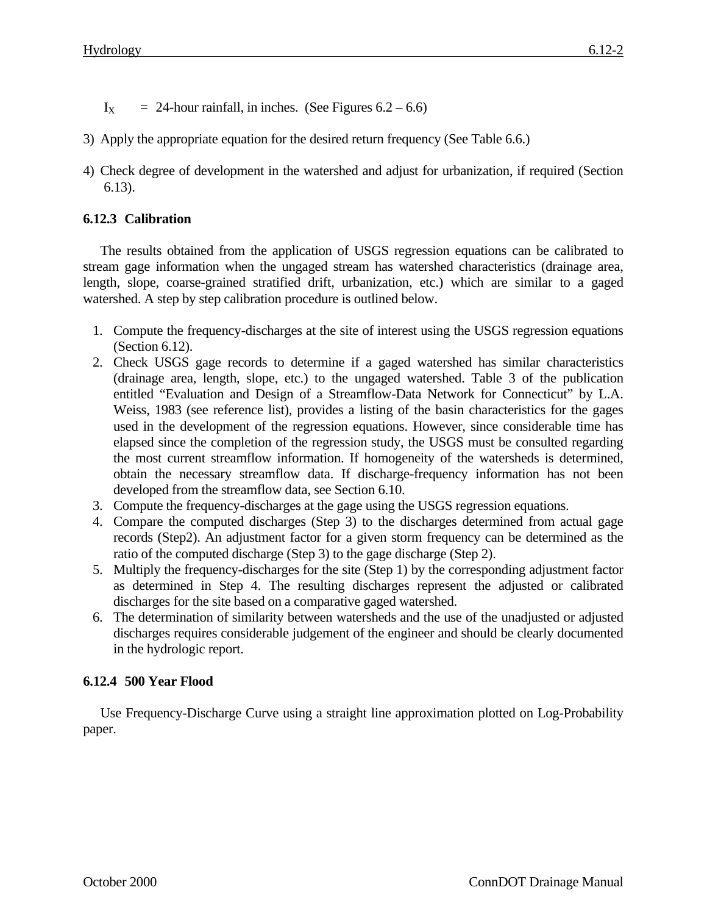- $I_X$  = 24-hour rainfall, in inches. (See Figures 6.2 6.6)
- 3) Apply the appropriate equation for the desired return frequency (See Table 6.6.)
- 4) Check degree of development in the watershed and adjust for urbanization, if required (Section 6.13).

# **6.12.3 Calibration**

The results obtained from the application of USGS regression equations can be calibrated to stream gage information when the ungaged stream has watershed characteristics (drainage area, length, slope, coarse-grained stratified drift, urbanization, etc.) which are similar to a gaged watershed. A step by step calibration procedure is outlined below.

- 1. Compute the frequency-discharges at the site of interest using the USGS regression equations (Section 6.12).
- 2. Check USGS gage records to determine if a gaged watershed has similar characteristics (drainage area, length, slope, etc.) to the ungaged watershed. Table 3 of the publication entitled "Evaluation and Design of a Streamflow-Data Network for Connecticut" by L.A. Weiss, 1983 (see reference list), provides a listing of the basin characteristics for the gages used in the development of the regression equations. However, since considerable time has elapsed since the completion of the regression study, the USGS must be consulted regarding the most current streamflow information. If homogeneity of the watersheds is determined, obtain the necessary streamflow data. If discharge-frequency information has not been developed from the streamflow data, see Section 6.10.
- 3. Compute the frequency-discharges at the gage using the USGS regression equations.
- 4. Compare the computed discharges (Step 3) to the discharges determined from actual gage records (Step2). An adjustment factor for a given storm frequency can be determined as the ratio of the computed discharge (Step 3) to the gage discharge (Step 2).
- 5. Multiply the frequency-discharges for the site (Step 1) by the corresponding adjustment factor as determined in Step 4. The resulting discharges represent the adjusted or calibrated discharges for the site based on a comparative gaged watershed.
- 6. The determination of similarity between watersheds and the use of the unadjusted or adjusted discharges requires considerable judgement of the engineer and should be clearly documented in the hydrologic report.

## **6.12.4 500 Year Flood**

Use Frequency-Discharge Curve using a straight line approximation plotted on Log-Probability paper.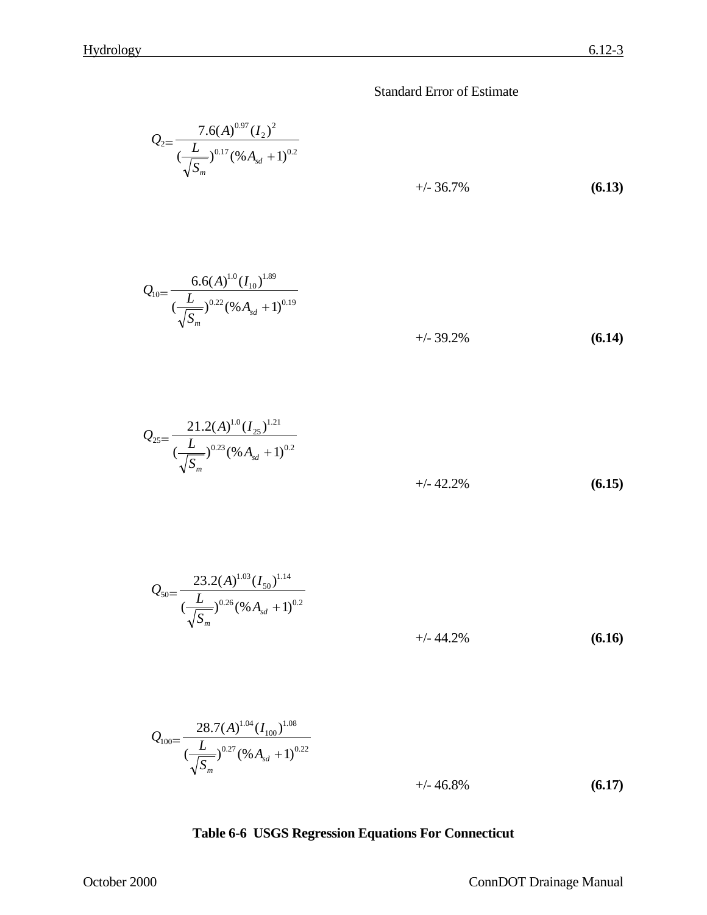Standard Error of Estimate

$$
Q_{2} = \frac{7.6(A)^{0.97} (I_{2})^{2}}{(\frac{L}{\sqrt{S_{m}}})^{0.17} (\% A_{sd} + 1)^{0.2}} +\frac{1}{2} \cdot 36.7\%
$$
\n(6.13)

$$
Q_{10} = \frac{6.6(A)^{1.0} (I_{10})^{1.89}}{(\frac{L}{\sqrt{S_m}})^{0.22} (\% A_{sd} + 1)^{0.19}}
$$
  
+/ - 39.2% (6.14)

$$
Q_{25} = \frac{21.2(A)^{1.0} (I_{25})^{1.21}}{(\frac{L}{\sqrt{S_m}})^{0.23} (\% A_{sd} + 1)^{0.2}} + (-42.2\%) \tag{6.15}
$$

$$
Q_{50} = \frac{23.2(A)^{1.03} (I_{50})^{1.14}}{(\frac{L}{\sqrt{S_m}})^{0.26} (\% A_{sd} + 1)^{0.2}}
$$
  
  $+/- 44.2\%$  (6.16)

$$
Q_{100} = \frac{28.7(A)^{1.04} (I_{100})^{1.08}}{(\frac{L}{\sqrt{S_m}})^{0.27} (96 A_{sd} + 1)^{0.22}} + (-46.8\%) \tag{6.17}
$$

# **Table 6-6 USGS Regression Equations For Connecticut**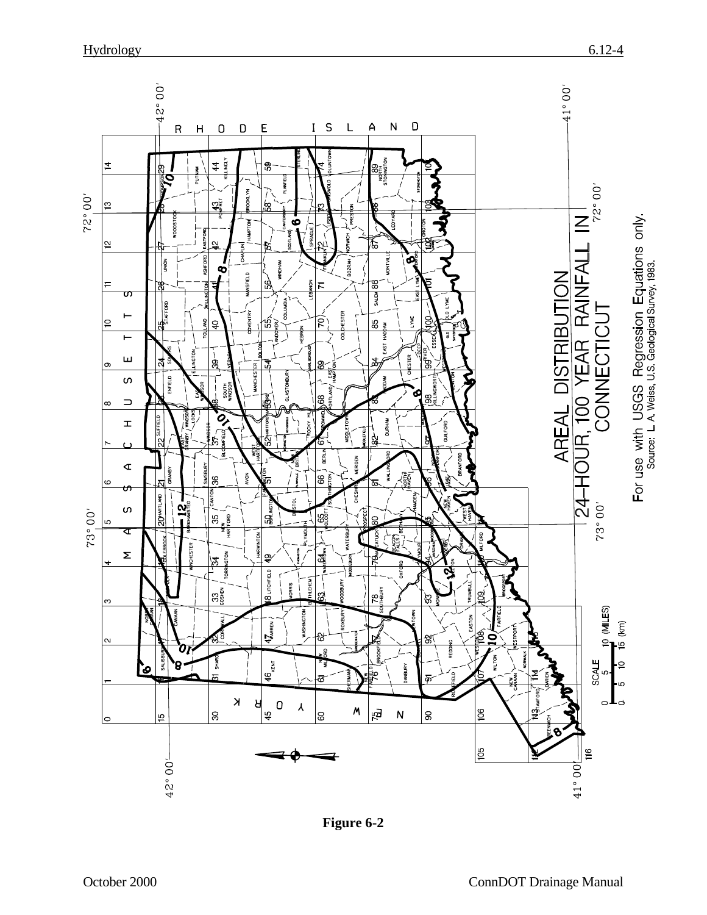

**Figure 6-2**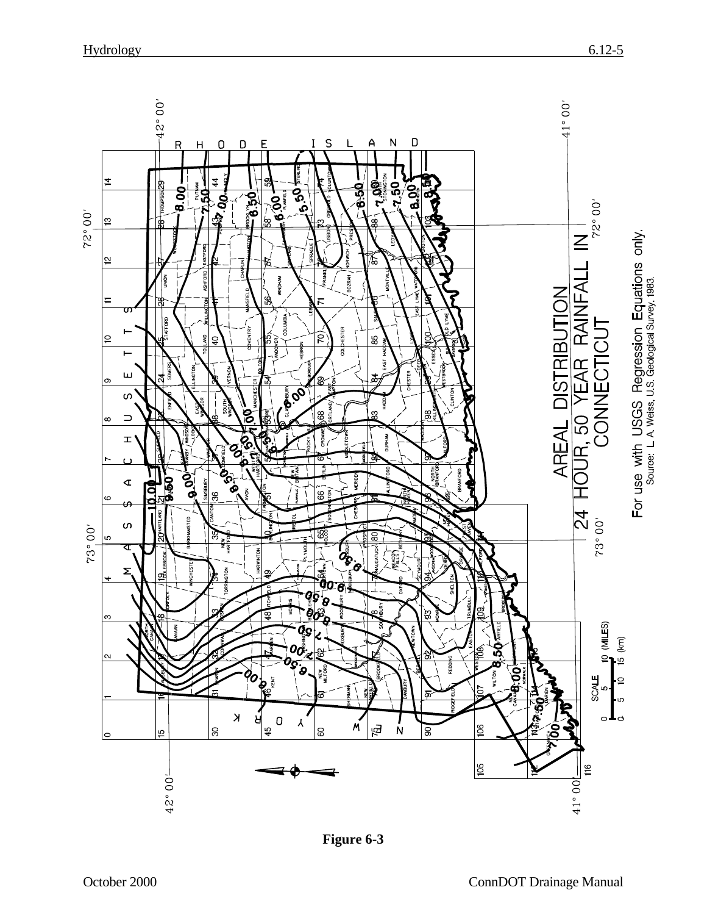

**Figure 6-3**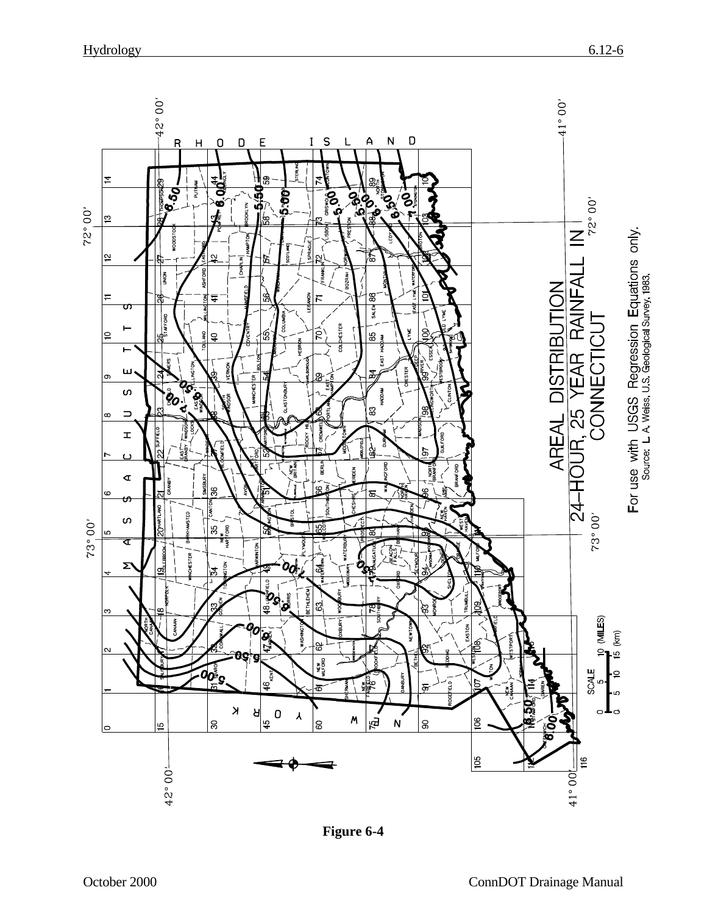

**Figure 6-4**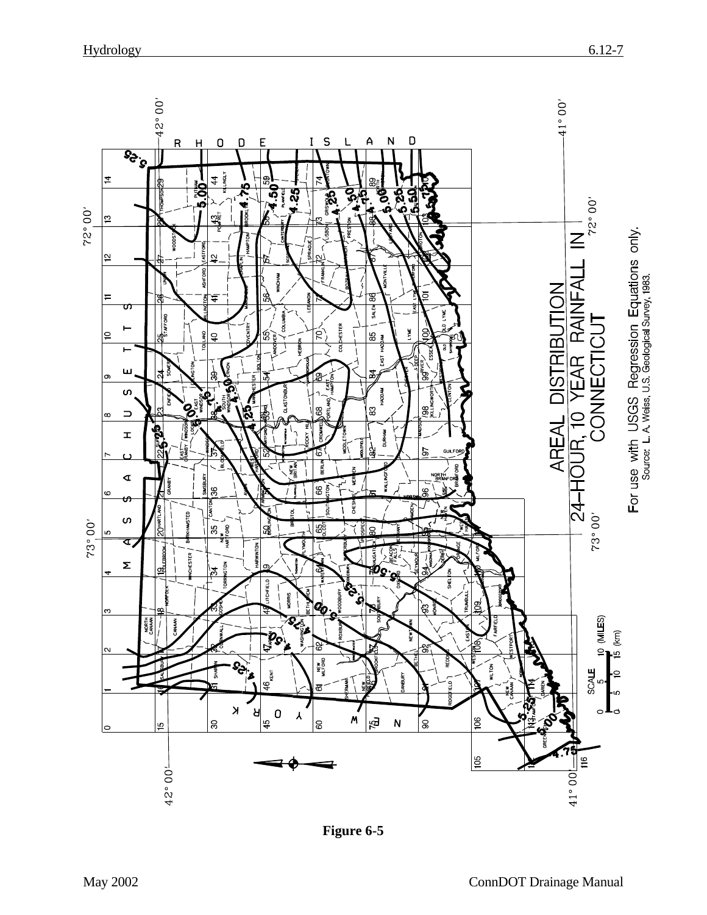

**Figure 6-5**